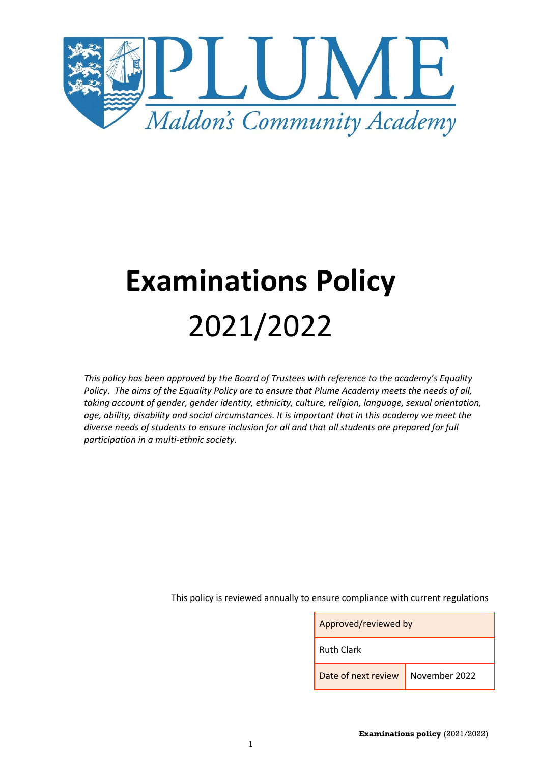

# **Examinations Policy** 2021/2022

*This policy has been approved by the Board of Trustees with reference to the academy's Equality Policy. The aims of the Equality Policy are to ensure that Plume Academy meets the needs of all, taking account of gender, gender identity, ethnicity, culture, religion, language, sexual orientation, age, ability, disability and social circumstances. It is important that in this academy we meet the diverse needs of students to ensure inclusion for all and that all students are prepared for full participation in a multi-ethnic society.*

This policy is reviewed annually to ensure compliance with current regulations

| Approved/reviewed by              |  |  |
|-----------------------------------|--|--|
| <b>Ruth Clark</b>                 |  |  |
| Date of next review November 2022 |  |  |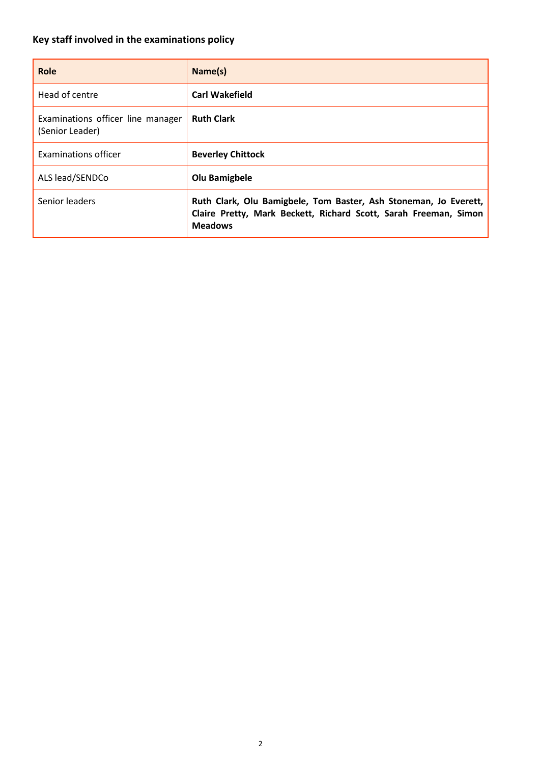# <span id="page-1-0"></span>**Key staff involved in the examinations policy**

| Role                                                 | Name(s)                                                                                                                                                |
|------------------------------------------------------|--------------------------------------------------------------------------------------------------------------------------------------------------------|
| Head of centre                                       | <b>Carl Wakefield</b>                                                                                                                                  |
| Examinations officer line manager<br>(Senior Leader) | <b>Ruth Clark</b>                                                                                                                                      |
| Examinations officer                                 | <b>Beverley Chittock</b>                                                                                                                               |
| ALS lead/SENDCo                                      | Olu Bamigbele                                                                                                                                          |
| Senior leaders                                       | Ruth Clark, Olu Bamigbele, Tom Baster, Ash Stoneman, Jo Everett,<br>Claire Pretty, Mark Beckett, Richard Scott, Sarah Freeman, Simon<br><b>Meadows</b> |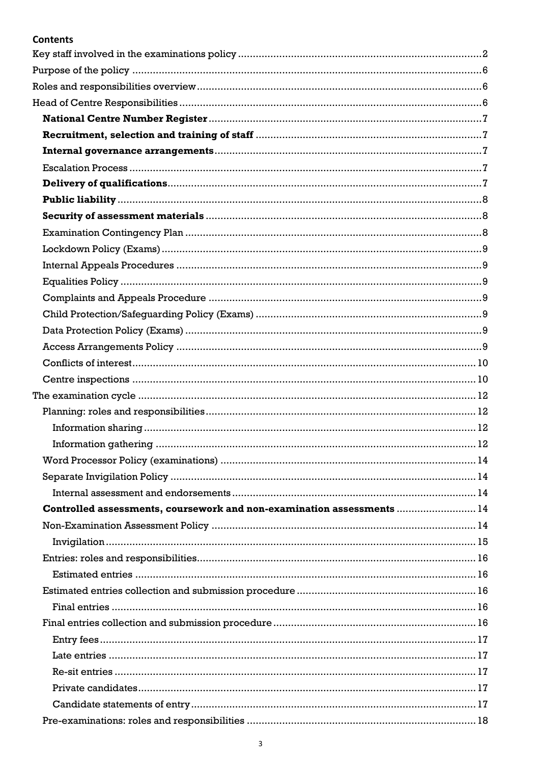# **Contents**

| Controlled assessments, coursework and non-examination assessments  14 |  |
|------------------------------------------------------------------------|--|
|                                                                        |  |
|                                                                        |  |
|                                                                        |  |
|                                                                        |  |
|                                                                        |  |
|                                                                        |  |
|                                                                        |  |
|                                                                        |  |
|                                                                        |  |
|                                                                        |  |
|                                                                        |  |
|                                                                        |  |
|                                                                        |  |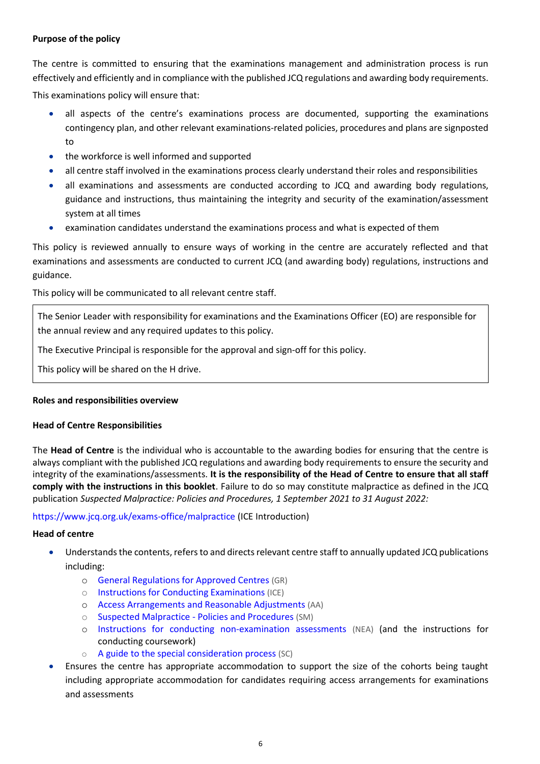## <span id="page-5-0"></span>**Purpose of the policy**

The centre is committed to ensuring that the examinations management and administration process is run effectively and efficiently and in compliance with the published JCQ regulations and awarding body requirements.

This examinations policy will ensure that:

- all aspects of the centre's examinations process are documented, supporting the examinations contingency plan, and other relevant examinations-related policies, procedures and plans are signposted to
- the workforce is well informed and supported
- all centre staff involved in the examinations process clearly understand their roles and responsibilities
- all examinations and assessments are conducted according to JCQ and awarding body regulations, guidance and instructions, thus maintaining the integrity and security of the examination/assessment system at all times
- examination candidates understand the examinations process and what is expected of them

This policy is reviewed annually to ensure ways of working in the centre are accurately reflected and that examinations and assessments are conducted to current JCQ (and awarding body) regulations, instructions and guidance.

This policy will be communicated to all relevant centre staff.

The Senior Leader with responsibility for examinations and the Examinations Officer (EO) are responsible for the annual review and any required updates to this policy.

The Executive Principal is responsible for the approval and sign-off for this policy.

This policy will be shared on the H drive.

#### <span id="page-5-1"></span>**Roles and responsibilities overview**

#### <span id="page-5-2"></span>**Head of Centre Responsibilities**

The **Head of Centre** is the individual who is accountable to the awarding bodies for ensuring that the centre is always compliant with the published JCQ regulations and awarding body requirements to ensure the security and integrity of the examinations/assessments. **It is the responsibility of the Head of Centre to ensure that all staff comply with the instructions in this booklet**. Failure to do so may constitute malpractice as defined in the JCQ publication *Suspected Malpractice: Policies and Procedures, 1 September 2021 to 31 August 2022:* 

<https://www.jcq.org.uk/exams-office/malpractice> [\(ICE](http://www.jcq.org.uk/exams-office/ice---instructions-for-conducting-examinations) Introduction)

#### **Head of centre**

- Understands the contents, refers to and directs relevant centre staff to annually updated JCQ publications including:
	- o [General Regulations for Approved Centres](http://www.jcq.org.uk/exams-office/general-regulations) (GR)
	- o [Instructions for Conducting Examinations](http://www.jcq.org.uk/exams-office/ice---instructions-for-conducting-examinations) (ICE)
	- o [Access Arrangements and Reasonable Adjustments](http://www.jcq.org.uk/exams-office/access-arrangements-and-special-consideration/regulations-and-guidance) (AA)
	- o [Suspected Malpractice -](http://www.jcq.org.uk/exams-office/malpractice) Policies and Procedures (SM)
	- o [Instructions for conducting non-examination assessments](http://www.jcq.org.uk/exams-office/non-examination-assessments) (NEA) (and the instructions for conducting coursework)
	- o [A guide to the special consideration process](http://www.jcq.org.uk/exams-office/access-arrangements-and-special-consideration/regulations-and-guidance) (SC)
- Ensures the centre has appropriate accommodation to support the size of the cohorts being taught including appropriate accommodation for candidates requiring access arrangements for examinations and assessments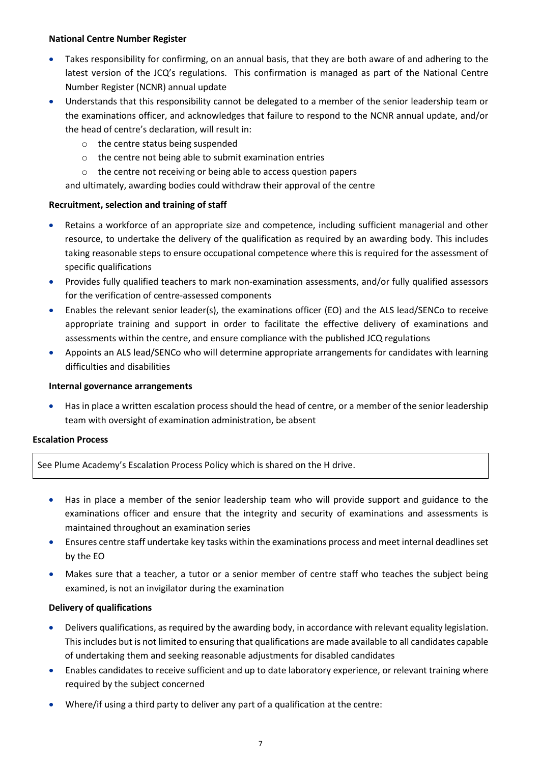#### <span id="page-6-0"></span>**National Centre Number Register**

- Takes responsibility for confirming, on an annual basis, that they are both aware of and adhering to the latest version of the JCQ's regulations. This confirmation is managed as part of the National Centre Number Register (NCNR) annual update
- Understands that this responsibility cannot be delegated to a member of the senior leadership team or the examinations officer, and acknowledges that failure to respond to the NCNR annual update, and/or the head of centre's declaration, will result in:
	- o the centre status being suspended
	- o the centre not being able to submit examination entries
	- o the centre not receiving or being able to access question papers

and ultimately, awarding bodies could withdraw their approval of the centre

# <span id="page-6-1"></span>**Recruitment, selection and training of staff**

- Retains a workforce of an appropriate size and competence, including sufficient managerial and other resource, to undertake the delivery of the qualification as required by an awarding body. This includes taking reasonable steps to ensure occupational competence where this is required for the assessment of specific qualifications
- Provides fully qualified teachers to mark non-examination assessments, and/or fully qualified assessors for the verification of centre-assessed components
- Enables the relevant senior leader(s), the examinations officer (EO) and the ALS lead/SENCo to receive appropriate training and support in order to facilitate the effective delivery of examinations and assessments within the centre, and ensure compliance with the published JCQ regulations
- Appoints an ALS lead/SENCo who will determine appropriate arrangements for candidates with learning difficulties and disabilities

#### <span id="page-6-2"></span>**Internal governance arrangements**

 Has in place a written escalation process should the head of centre, or a member of the senior leadership team with oversight of examination administration, be absent

#### <span id="page-6-3"></span>**Escalation Process**

See Plume Academy's Escalation Process Policy which is shared on the H drive.

- Has in place a member of the senior leadership team who will provide support and guidance to the examinations officer and ensure that the integrity and security of examinations and assessments is maintained throughout an examination series
- Ensures centre staff undertake key tasks within the examinations process and meet internal deadlines set by the EO
- Makes sure that a teacher, a tutor or a senior member of centre staff who teaches the subject being examined, is not an invigilator during the examination

# <span id="page-6-4"></span>**Delivery of qualifications**

- Delivers qualifications, as required by the awarding body, in accordance with relevant equality legislation. This includes but is not limited to ensuring that qualifications are made available to all candidates capable of undertaking them and seeking reasonable adjustments for disabled candidates
- Enables candidates to receive sufficient and up to date laboratory experience, or relevant training where required by the subject concerned
- Where/if using a third party to deliver any part of a qualification at the centre: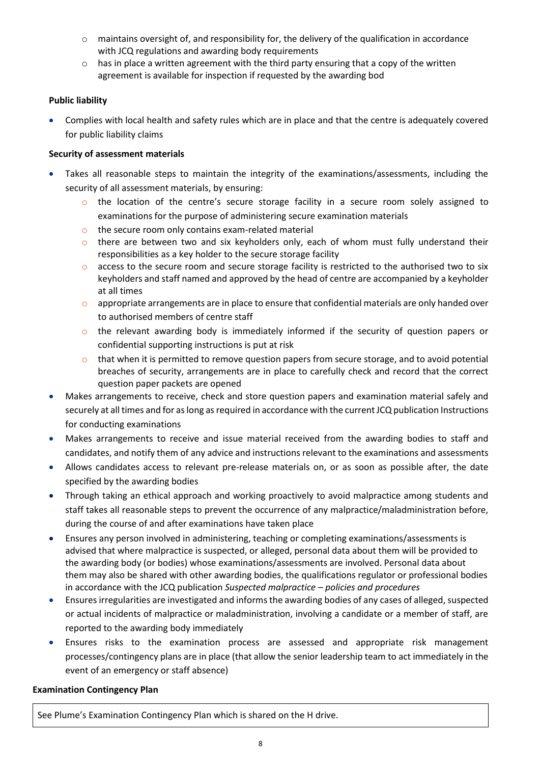- o maintains oversight of, and responsibility for, the delivery of the qualification in accordance with JCQ regulations and awarding body requirements
- $\circ$  has in place a written agreement with the third party ensuring that a copy of the written agreement is available for inspection if requested by the awarding bod

# <span id="page-7-0"></span>**Public liability**

 Complies with local health and safety rules which are in place and that the centre is adequately covered for public liability claims

# <span id="page-7-1"></span>**Security of assessment materials**

- Takes all reasonable steps to maintain the integrity of the examinations/assessments, including the security of all assessment materials, by ensuring:
	- $\circ$  the location of the centre's secure storage facility in a secure room solely assigned to examinations for the purpose of administering secure examination materials
	- o the secure room only contains exam-related material
	- $\circ$  there are between two and six keyholders only, each of whom must fully understand their responsibilities as a key holder to the secure storage facility
	- $\circ$  access to the secure room and secure storage facility is restricted to the authorised two to six keyholders and staff named and approved by the head of centre are accompanied by a keyholder at all times
	- $\circ$  appropriate arrangements are in place to ensure that confidential materials are only handed over to authorised members of centre staff
	- $\circ$  the relevant awarding body is immediately informed if the security of question papers or confidential supporting instructions is put at risk
	- that when it is permitted to remove question papers from secure storage, and to avoid potential breaches of security, arrangements are in place to carefully check and record that the correct question paper packets are opened
- Makes arrangements to receive, check and store question papers and examination material safely and securely at all times and for as long as required in accordance with the current JCQ publication Instructions for conducting examinations
- Makes arrangements to receive and issue material received from the awarding bodies to staff and candidates, and notify them of any advice and instructions relevant to the examinations and assessments
- Allows candidates access to relevant pre-release materials on, or as soon as possible after, the date specified by the awarding bodies
- Through taking an ethical approach and working proactively to avoid malpractice among students and staff takes all reasonable steps to prevent the occurrence of any malpractice/maladministration before, during the course of and after examinations have taken place
- Ensures any person involved in administering, teaching or completing examinations/assessments is advised that where malpractice is suspected, or alleged, personal data about them will be provided to the awarding body (or bodies) whose examinations/assessments are involved. Personal data about them may also be shared with other awarding bodies, the qualifications regulator or professional bodies in accordance with the JCQ publication *Suspected malpractice – policies and procedures*
- Ensures irregularities are investigated and informs the awarding bodies of any cases of alleged, suspected or actual incidents of malpractice or maladministration, involving a candidate or a member of staff, are reported to the awarding body immediately
- Ensures risks to the examination process are assessed and appropriate risk management processes/contingency plans are in place (that allow the senior leadership team to act immediately in the event of an emergency or staff absence)

#### <span id="page-7-2"></span>**Examination Contingency Plan**

See Plume's Examination Contingency Plan which is shared on the H drive.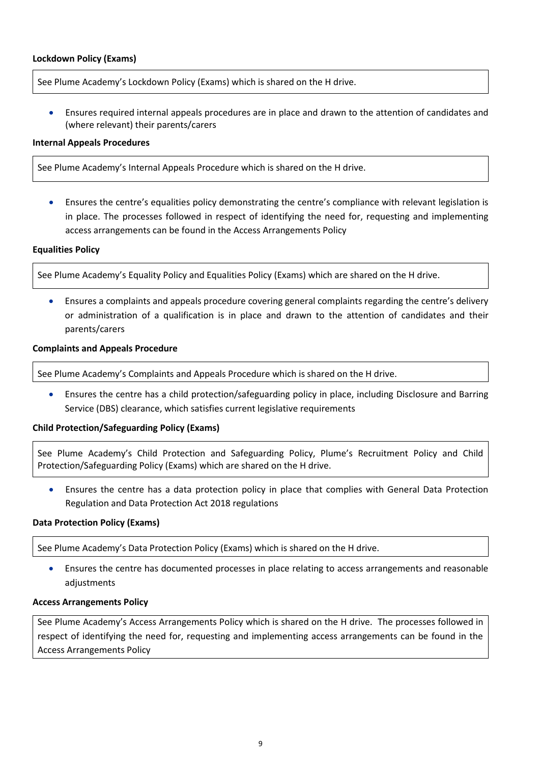#### <span id="page-8-0"></span>**Lockdown Policy (Exams)**

See Plume Academy's Lockdown Policy (Exams) which is shared on the H drive.

 Ensures required internal appeals procedures are in place and drawn to the attention of candidates and (where relevant) their parents/carers

#### <span id="page-8-1"></span>**Internal Appeals Procedures**

See Plume Academy's Internal Appeals Procedure which is shared on the H drive.

 Ensures the centre's equalities policy demonstrating the centre's compliance with relevant legislation is in place. The processes followed in respect of identifying the need for, requesting and implementing access arrangements can be found in the Access Arrangements Policy

#### <span id="page-8-2"></span>**Equalities Policy**

See Plume Academy's Equality Policy and Equalities Policy (Exams) which are shared on the H drive.

 Ensures a complaints and appeals procedure covering general complaints regarding the centre's delivery or administration of a qualification is in place and drawn to the attention of candidates and their parents/carers

#### <span id="page-8-3"></span>**Complaints and Appeals Procedure**

See Plume Academy's Complaints and Appeals Procedure which is shared on the H drive.

 Ensures the centre has a child protection/safeguarding policy in place, including Disclosure and Barring Service (DBS) clearance, which satisfies current legislative requirements

#### <span id="page-8-4"></span>**Child Protection/Safeguarding Policy (Exams)**

See Plume Academy's Child Protection and Safeguarding Policy, Plume's Recruitment Policy and Child Protection/Safeguarding Policy (Exams) which are shared on the H drive.

 Ensures the centre has a data protection policy in place that complies with General Data Protection Regulation and Data Protection Act 2018 regulations

#### <span id="page-8-5"></span>**Data Protection Policy (Exams)**

See Plume Academy's Data Protection Policy (Exams) which is shared on the H drive.

 Ensures the centre has documented processes in place relating to access arrangements and reasonable adiustments

#### <span id="page-8-6"></span>**Access Arrangements Policy**

See Plume Academy's Access Arrangements Policy which is shared on the H drive. The processes followed in respect of identifying the need for, requesting and implementing access arrangements can be found in the Access Arrangements Policy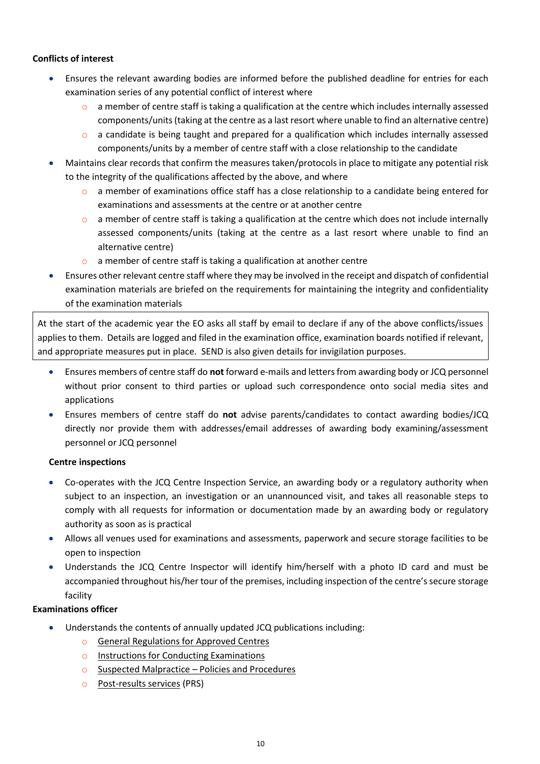## <span id="page-9-0"></span>**Conflicts of interest**

- Ensures the relevant awarding bodies are informed before the published deadline for entries for each examination series of any potential conflict of interest where
	- $\circ$  a member of centre staff is taking a qualification at the centre which includes internally assessed components/units (taking at the centre as a last resort where unable to find an alternative centre)
	- $\circ$  a candidate is being taught and prepared for a qualification which includes internally assessed components/units by a member of centre staff with a close relationship to the candidate
- Maintains clear records that confirm the measures taken/protocols in place to mitigate any potential risk to the integrity of the qualifications affected by the above, and where
	- $\circ$  a member of examinations office staff has a close relationship to a candidate being entered for examinations and assessments at the centre or at another centre
	- $\circ$  a member of centre staff is taking a qualification at the centre which does not include internally assessed components/units (taking at the centre as a last resort where unable to find an alternative centre)
	- o a member of centre staff is taking a qualification at another centre
- Ensures other relevant centre staff where they may be involved in the receipt and dispatch of confidential examination materials are briefed on the requirements for maintaining the integrity and confidentiality of the examination materials

At the start of the academic year the EO asks all staff by email to declare if any of the above conflicts/issues applies to them. Details are logged and filed in the examination office, examination boards notified if relevant, and appropriate measures put in place. SEND is also given details for invigilation purposes.

- Ensures members of centre staff do **not** forward e-mails and letters from awarding body or JCQ personnel without prior consent to third parties or upload such correspondence onto social media sites and applications
- Ensures members of centre staff do **not** advise parents/candidates to contact awarding bodies/JCQ directly nor provide them with addresses/email addresses of awarding body examining/assessment personnel or JCQ personnel

# <span id="page-9-1"></span>**Centre inspections**

- Co-operates with the JCQ Centre Inspection Service, an awarding body or a regulatory authority when subject to an inspection, an investigation or an unannounced visit, and takes all reasonable steps to comply with all requests for information or documentation made by an awarding body or regulatory authority as soon as is practical
- Allows all venues used for examinations and assessments, paperwork and secure storage facilities to be open to inspection
- Understands the JCQ Centre Inspector will identify him/herself with a photo ID card and must be accompanied throughout his/her tour of the premises, including inspection of the centre's secure storage facility

# **Examinations officer**

- Understands the contents of annually updated JCQ publications including:
	- o [General Regulations for Approved Centres](http://www.jcq.org.uk/exams-office/general-regulations)
	- o [Instructions for Conducting Examinations](http://www.jcq.org.uk/exams-office/ice---instructions-for-conducting-examinations)
	- o [Suspected Malpractice](http://www.jcq.org.uk/exams-office/malpractice)  Policies and Procedures
	- o [Post-results services](http://www.jcq.org.uk/exams-office/post-results-services) (PRS)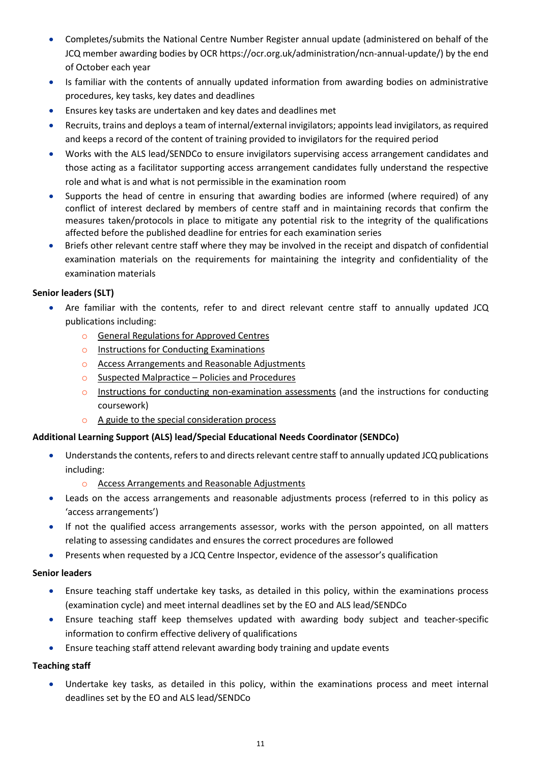- Completes/submits the National Centre Number Register annual update (administered on behalf of the JCQ member awarding bodies by OCR [https://ocr.org.uk/administration/ncn-annual-update/\)](https://ocr.org.uk/administration/ncn-annual-update/) by the end of October each year
- Is familiar with the contents of annually updated information from awarding bodies on administrative procedures, key tasks, key dates and deadlines
- Ensures key tasks are undertaken and key dates and deadlines met
- Recruits, trains and deploys a team of internal/external invigilators; appoints lead invigilators, as required and keeps a record of the content of training provided to invigilators for the required period
- Works with the ALS lead/SENDCo to ensure invigilators supervising access arrangement candidates and those acting as a facilitator supporting access arrangement candidates fully understand the respective role and what is and what is not permissible in the examination room
- Supports the head of centre in ensuring that awarding bodies are informed (where required) of any conflict of interest declared by members of centre staff and in maintaining records that confirm the measures taken/protocols in place to mitigate any potential risk to the integrity of the qualifications affected before the published deadline for entries for each examination series
- Briefs other relevant centre staff where they may be involved in the receipt and dispatch of confidential examination materials on the requirements for maintaining the integrity and confidentiality of the examination materials

# **Senior leaders (SLT)**

- Are familiar with the contents, refer to and direct relevant centre staff to annually updated JCQ publications including:
	- o [General Regulations for Approved Centres](http://www.jcq.org.uk/exams-office/general-regulations)
	- o [Instructions for Conducting Examinations](http://www.jcq.org.uk/exams-office/ice---instructions-for-conducting-examinations)
	- o [Access Arrangements and Reasonable Adjustments](http://www.jcq.org.uk/exams-office/access-arrangements-and-special-consideration/regulations-and-guidance)
	- o [Suspected Malpractice](http://www.jcq.org.uk/exams-office/malpractice)  Policies and Procedures
	- $\circ$  [Instructions for conducting non-examination assessments](http://www.jcq.org.uk/exams-office/non-examination-assessments) (and the instructions for conducting coursework)
	- o [A guide to the special consideration process](http://www.jcq.org.uk/exams-office/access-arrangements-and-special-consideration/regulations-and-guidance)

# **Additional Learning Support (ALS) lead/Special Educational Needs Coordinator (SENDCo)**

- Understands the contents, refers to and directs relevant centre staff to annually updated JCQ publications including:
	- o [Access Arrangements and Reasonable Adjustments](http://www.jcq.org.uk/exams-office/access-arrangements-and-special-consideration/regulations-and-guidance)
- Leads on the access arrangements and reasonable adjustments process (referred to in this policy as 'access arrangements')
- If not the qualified access arrangements assessor, works with the person appointed, on all matters relating to assessing candidates and ensures the correct procedures are followed
- Presents when requested by a JCQ Centre Inspector, evidence of the assessor's qualification

# **Senior leaders**

- Ensure teaching staff undertake key tasks, as detailed in this policy, within the examinations process (examination cycle) and meet internal deadlines set by the EO and ALS lead/SENDCo
- Ensure teaching staff keep themselves updated with awarding body subject and teacher-specific information to confirm effective delivery of qualifications
- Ensure teaching staff attend relevant awarding body training and update events

# **Teaching staff**

 Undertake key tasks, as detailed in this policy, within the examinations process and meet internal deadlines set by the EO and ALS lead/SENDCo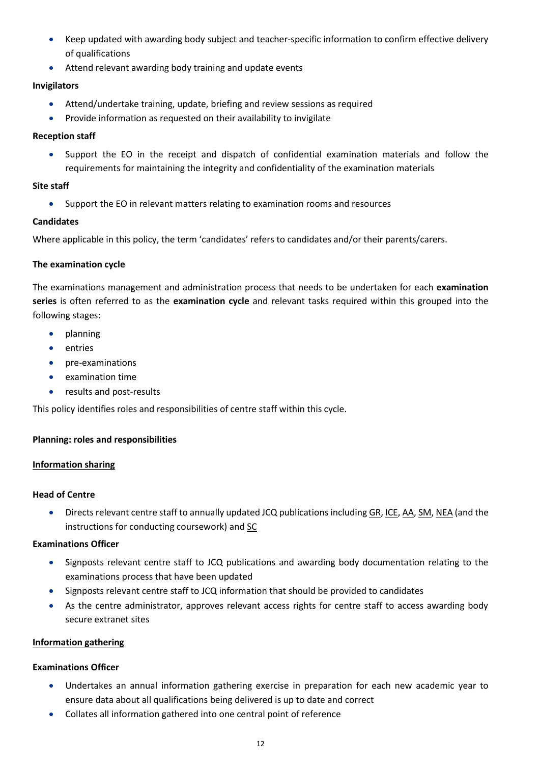- Keep updated with awarding body subject and teacher-specific information to confirm effective delivery of qualifications
- Attend relevant awarding body training and update events

# **Invigilators**

- Attend/undertake training, update, briefing and review sessions as required
- Provide information as requested on their availability to invigilate

# **Reception staff**

 Support the EO in the receipt and dispatch of confidential examination materials and follow the requirements for maintaining the integrity and confidentiality of the examination materials

# **Site staff**

Support the EO in relevant matters relating to examination rooms and resources

# **Candidates**

Where applicable in this policy, the term 'candidates' refers to candidates and/or their parents/carers.

# <span id="page-11-0"></span>**The examination cycle**

The examinations management and administration process that needs to be undertaken for each **examination series** is often referred to as the **examination cycle** and relevant tasks required within this grouped into the following stages:

- **•** planning
- entries
- pre-examinations
- examination time
- results and post-results

This policy identifies roles and responsibilities of centre staff within this cycle.

# <span id="page-11-1"></span>**Planning: roles and responsibilities**

# <span id="page-11-2"></span>**Information sharing**

# **Head of Centre**

 Directs relevant centre staff to annually updated JCQ publications including [GR,](http://www.jcq.org.uk/exams-office/general-regulations) [ICE,](http://www.jcq.org.uk/exams-office/ice---instructions-for-conducting-examinations) [AA,](http://www.jcq.org.uk/exams-office/access-arrangements-and-special-consideration) [SM,](http://www.jcq.org.uk/exams-office/malpractice) [NEA](http://www.jcq.org.uk/exams-office/non-examination-assessments) (and the instructions for conducting coursework) and [SC](http://www.jcq.org.uk/exams-office/access-arrangements-and-special-consideration/regulations-and-guidance)

# **Examinations Officer**

- Signposts relevant centre staff to JCQ publications and awarding body documentation relating to the examinations process that have been updated
- Signposts relevant centre staff to JCQ information that should be provided to candidates
- As the centre administrator, approves relevant access rights for centre staff to access awarding body secure extranet sites

# <span id="page-11-3"></span>**Information gathering**

# **Examinations Officer**

- Undertakes an annual information gathering exercise in preparation for each new academic year to ensure data about all qualifications being delivered is up to date and correct
- Collates all information gathered into one central point of reference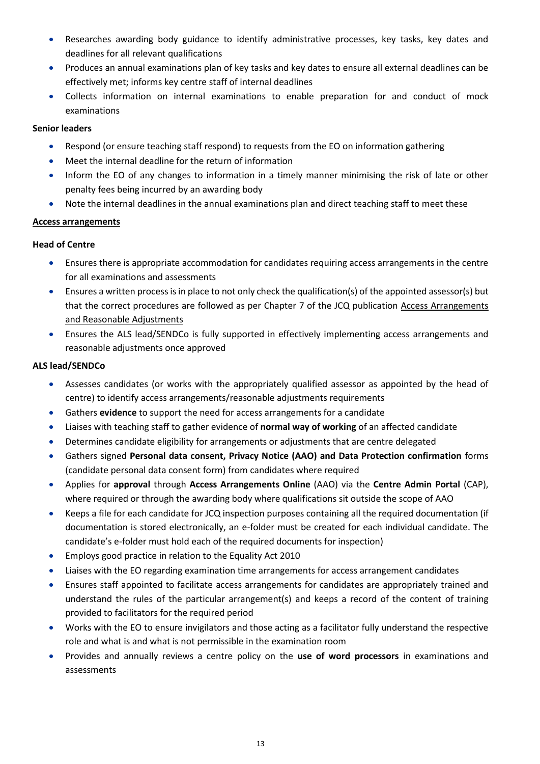- Researches awarding body guidance to identify administrative processes, key tasks, key dates and deadlines for all relevant qualifications
- Produces an annual examinations plan of key tasks and key dates to ensure all external deadlines can be effectively met; informs key centre staff of internal deadlines
- Collects information on internal examinations to enable preparation for and conduct of mock examinations

# **Senior leaders**

- Respond (or ensure teaching staff respond) to requests from the EO on information gathering
- Meet the internal deadline for the return of information
- Inform the EO of any changes to information in a timely manner minimising the risk of late or other penalty fees being incurred by an awarding body
- Note the internal deadlines in the annual examinations plan and direct teaching staff to meet these

#### **Access arrangements**

# **Head of Centre**

- Ensures there is appropriate accommodation for candidates requiring access arrangements in the centre for all examinations and assessments
- Ensures a written process is in place to not only check the qualification(s) of the appointed assessor(s) but that the correct procedures are followed as per Chapter 7 of the JCQ publication [Access Arrangements](http://www.jcq.org.uk/exams-office/access-arrangements-and-special-consideration/regulations-and-guidance)  [and Reasonable Adjustments](http://www.jcq.org.uk/exams-office/access-arrangements-and-special-consideration/regulations-and-guidance)
- Ensures the ALS lead/SENDCo is fully supported in effectively implementing access arrangements and reasonable adjustments once approved

#### **ALS lead/SENDCo**

- Assesses candidates (or works with the appropriately qualified assessor as appointed by the head of centre) to identify access arrangements/reasonable adjustments requirements
- Gathers **evidence** to support the need for access arrangements for a candidate
- Liaises with teaching staff to gather evidence of **normal way of working** of an affected candidate
- Determines candidate eligibility for arrangements or adjustments that are centre delegated
- Gathers signed **Personal data consent, Privacy Notice (AAO) and Data Protection confirmation** forms (candidate personal data consent form) from candidates where required
- Applies for **approval** through **Access Arrangements Online** (AAO) via the **Centre Admin Portal** (CAP), where required or through the awarding body where qualifications sit outside the scope of AAO
- Keeps a file for each candidate for JCQ inspection purposes containing all the required documentation (if documentation is stored electronically, an e-folder must be created for each individual candidate. The candidate's e-folder must hold each of the required documents for inspection)
- Employs good practice in relation to the Equality Act 2010
- Liaises with the EO regarding examination time arrangements for access arrangement candidates
- Ensures staff appointed to facilitate access arrangements for candidates are appropriately trained and understand the rules of the particular arrangement(s) and keeps a record of the content of training provided to facilitators for the required period
- Works with the EO to ensure invigilators and those acting as a facilitator fully understand the respective role and what is and what is not permissible in the examination room
- Provides and annually reviews a centre policy on the **use of word processors** in examinations and assessments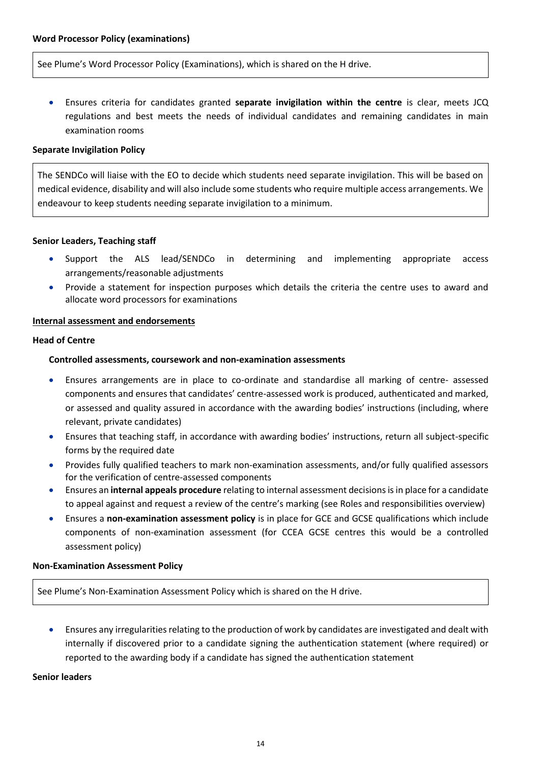<span id="page-13-0"></span>See Plume's Word Processor Policy (Examinations), which is shared on the H drive.

 Ensures criteria for candidates granted **separate invigilation within the centre** is clear, meets JCQ regulations and best meets the needs of individual candidates and remaining candidates in main examination rooms

#### <span id="page-13-1"></span>**Separate Invigilation Policy**

The SENDCo will liaise with the EO to decide which students need separate invigilation. This will be based on medical evidence, disability and will also include some students who require multiple access arrangements. We endeavour to keep students needing separate invigilation to a minimum.

#### **Senior Leaders, Teaching staff**

- Support the ALS lead/SENDCo in determining and implementing appropriate access arrangements/reasonable adjustments
- Provide a statement for inspection purposes which details the criteria the centre uses to award and allocate word processors for examinations

#### <span id="page-13-2"></span>**Internal assessment and endorsements**

#### <span id="page-13-3"></span>**Head of Centre**

#### **Controlled assessments, coursework and non-examination assessments**

- Ensures arrangements are in place to co-ordinate and standardise all marking of centre- assessed components and ensures that candidates' centre-assessed work is produced, authenticated and marked, or assessed and quality assured in accordance with the awarding bodies' instructions (including, where relevant, private candidates)
- Ensures that teaching staff, in accordance with awarding bodies' instructions, return all subject-specific forms by the required date
- Provides fully qualified teachers to mark non-examination assessments, and/or fully qualified assessors for the verification of centre-assessed components
- Ensures an **internal appeals procedure** relating to internal assessment decisions is in place for a candidate to appeal against and request a review of the centre's marking (see Roles and responsibilities overview)
- Ensures a **non-examination assessment policy** is in place for GCE and GCSE qualifications which include components of non-examination assessment (for CCEA GCSE centres this would be a controlled assessment policy)

#### <span id="page-13-4"></span>**Non-Examination Assessment Policy**

See Plume's Non-Examination Assessment Policy which is shared on the H drive.

 Ensures any irregularities relating to the production of work by candidates are investigated and dealt with internally if discovered prior to a candidate signing the authentication statement (where required) or reported to the awarding body if a candidate has signed the authentication statement

#### **Senior leaders**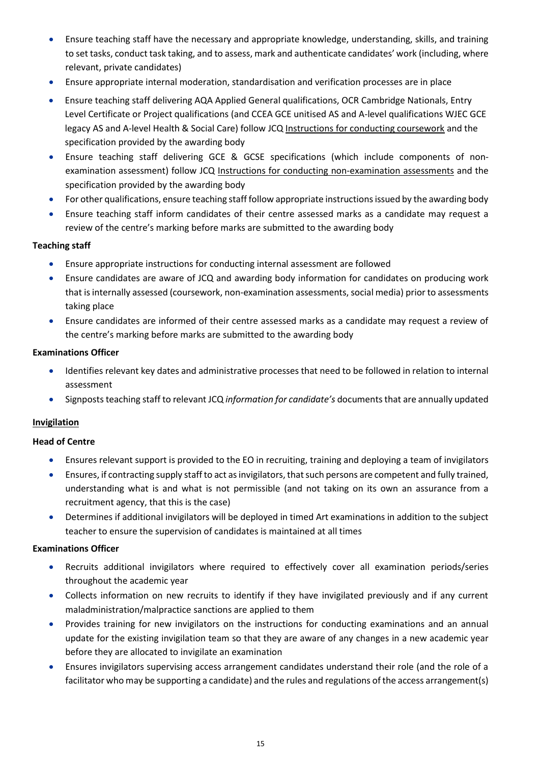- Ensure teaching staff have the necessary and appropriate knowledge, understanding, skills, and training to set tasks, conduct task taking, and to assess, mark and authenticate candidates' work (including, where relevant, private candidates)
- Ensure appropriate internal moderation, standardisation and verification processes are in place
- Ensure teaching staff delivering AQA Applied General qualifications, OCR Cambridge Nationals, Entry Level Certificate or Project qualifications (and CCEA GCE unitised AS and A-level qualifications WJEC GCE legacy AS and A-level Health & Social Care) follow JCQ [Instructions for conducting coursework](http://www.jcq.org.uk/exams-office/coursework) and the specification provided by the awarding body
- Ensure teaching staff delivering GCE & GCSE specifications (which include components of nonexamination assessment) follow JCQ [Instructions for conducting non-examination assessments](http://www.jcq.org.uk/exams-office/non-examination-assessments) and the specification provided by the awarding body
- For other qualifications, ensure teaching staff follow appropriate instructions issued by the awarding body
- Ensure teaching staff inform candidates of their centre assessed marks as a candidate may request a review of the centre's marking before marks are submitted to the awarding body

# **Teaching staff**

- Ensure appropriate instructions for conducting internal assessment are followed
- Ensure candidates are aware of JCQ and awarding body information for candidates on producing work that is internally assessed (coursework, non-examination assessments, social media) prior to assessments taking place
- Ensure candidates are informed of their centre assessed marks as a candidate may request a review of the centre's marking before marks are submitted to the awarding body

#### **Examinations Officer**

- Identifies relevant key dates and administrative processes that need to be followed in relation to internal assessment
- Signposts teaching staff to relevant JCQ *information for candidate's* documents that are annually updated

# <span id="page-14-0"></span>**Invigilation**

#### **Head of Centre**

- Ensures relevant support is provided to the EO in recruiting, training and deploying a team of invigilators
- Ensures, if contracting supply staff to act as invigilators, that such persons are competent and fully trained, understanding what is and what is not permissible (and not taking on its own an assurance from a recruitment agency, that this is the case)
- Determines if additional invigilators will be deployed in timed Art examinations in addition to the subject teacher to ensure the supervision of candidates is maintained at all times

#### **Examinations Officer**

- Recruits additional invigilators where required to effectively cover all examination periods/series throughout the academic year
- Collects information on new recruits to identify if they have invigilated previously and if any current maladministration/malpractice sanctions are applied to them
- Provides training for new invigilators on the instructions for conducting examinations and an annual update for the existing invigilation team so that they are aware of any changes in a new academic year before they are allocated to invigilate an examination
- Ensures invigilators supervising access arrangement candidates understand their role (and the role of a facilitator who may be supporting a candidate) and the rules and regulations of the access arrangement(s)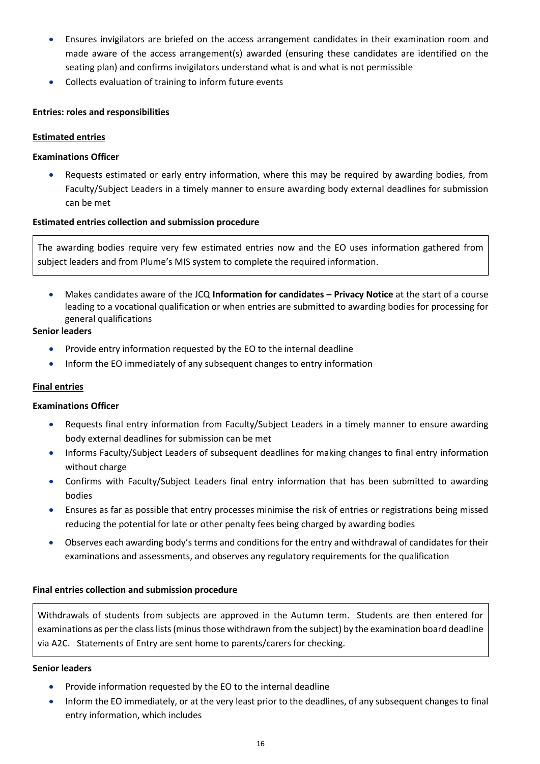- Ensures invigilators are briefed on the access arrangement candidates in their examination room and made aware of the access arrangement(s) awarded (ensuring these candidates are identified on the seating plan) and confirms invigilators understand what is and what is not permissible
- Collects evaluation of training to inform future events

# <span id="page-15-0"></span>**Entries: roles and responsibilities**

# <span id="page-15-1"></span>**Estimated entries**

# **Examinations Officer**

 Requests estimated or early entry information, where this may be required by awarding bodies, from Faculty/Subject Leaders in a timely manner to ensure awarding body external deadlines for submission can be met

# <span id="page-15-2"></span>**Estimated entries collection and submission procedure**

The awarding bodies require very few estimated entries now and the EO uses information gathered from subject leaders and from Plume's MIS system to complete the required information.

 Makes candidates aware of the JCQ **Information for candidates – Privacy Notice** at the start of a course leading to a vocational qualification or when entries are submitted to awarding bodies for processing for general qualifications

# **Senior leaders**

- Provide entry information requested by the EO to the internal deadline
- Inform the EO immediately of any subsequent changes to entry information

# <span id="page-15-3"></span>**Final entries**

# **Examinations Officer**

- Requests final entry information from Faculty/Subject Leaders in a timely manner to ensure awarding body external deadlines for submission can be met
- Informs Faculty/Subject Leaders of subsequent deadlines for making changes to final entry information without charge
- Confirms with Faculty/Subject Leaders final entry information that has been submitted to awarding bodies
- Ensures as far as possible that entry processes minimise the risk of entries or registrations being missed reducing the potential for late or other penalty fees being charged by awarding bodies
- Observes each awarding body's terms and conditions for the entry and withdrawal of candidates for their examinations and assessments, and observes any regulatory requirements for the qualification

# <span id="page-15-4"></span>**Final entries collection and submission procedure**

Withdrawals of students from subjects are approved in the Autumn term. Students are then entered for examinations as per the class lists (minus those withdrawn from the subject) by the examination board deadline via A2C. Statements of Entry are sent home to parents/carers for checking.

# **Senior leaders**

- Provide information requested by the EO to the internal deadline
- Inform the EO immediately, or at the very least prior to the deadlines, of any subsequent changes to final entry information, which includes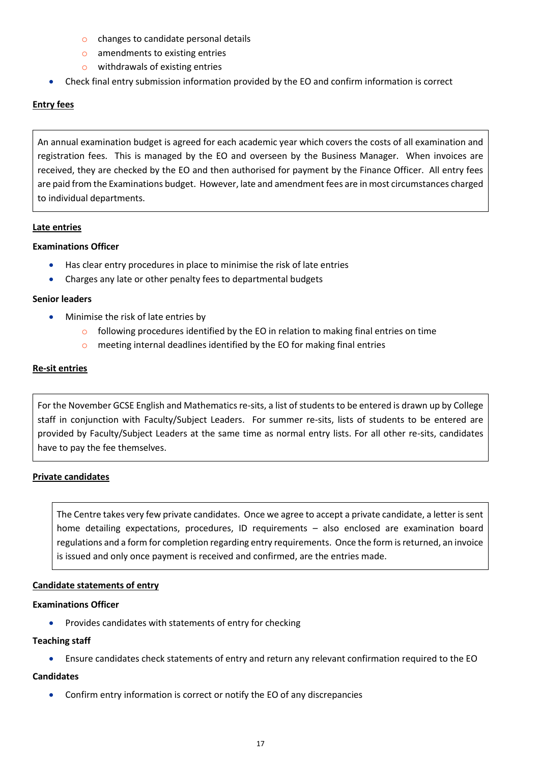- o changes to candidate personal details
- o amendments to existing entries
- o withdrawals of existing entries
- Check final entry submission information provided by the EO and confirm information is correct

# <span id="page-16-0"></span>**Entry fees**

An annual examination budget is agreed for each academic year which covers the costs of all examination and registration fees. This is managed by the EO and overseen by the Business Manager. When invoices are received, they are checked by the EO and then authorised for payment by the Finance Officer. All entry fees are paid from the Examinations budget. However, late and amendment fees are in most circumstances charged to individual departments.

# <span id="page-16-1"></span>**Late entries**

#### **Examinations Officer**

- Has clear entry procedures in place to minimise the risk of late entries
- Charges any late or other penalty fees to departmental budgets

#### **Senior leaders**

- Minimise the risk of late entries by
	- $\circ$  following procedures identified by the EO in relation to making final entries on time
	- o meeting internal deadlines identified by the EO for making final entries

#### <span id="page-16-2"></span>**Re-sit entries**

For the November GCSE English and Mathematics re-sits, a list of students to be entered is drawn up by College staff in conjunction with Faculty/Subject Leaders. For summer re-sits, lists of students to be entered are provided by Faculty/Subject Leaders at the same time as normal entry lists. For all other re-sits, candidates have to pay the fee themselves.

# <span id="page-16-3"></span>**Private candidates**

The Centre takes very few private candidates. Once we agree to accept a private candidate, a letter is sent home detailing expectations, procedures, ID requirements – also enclosed are examination board regulations and a form for completion regarding entry requirements. Once the form is returned, an invoice is issued and only once payment is received and confirmed, are the entries made.

#### <span id="page-16-4"></span>**Candidate statements of entry**

# **Examinations Officer**

**•** Provides candidates with statements of entry for checking

# **Teaching staff**

Ensure candidates check statements of entry and return any relevant confirmation required to the EO

# **Candidates**

Confirm entry information is correct or notify the EO of any discrepancies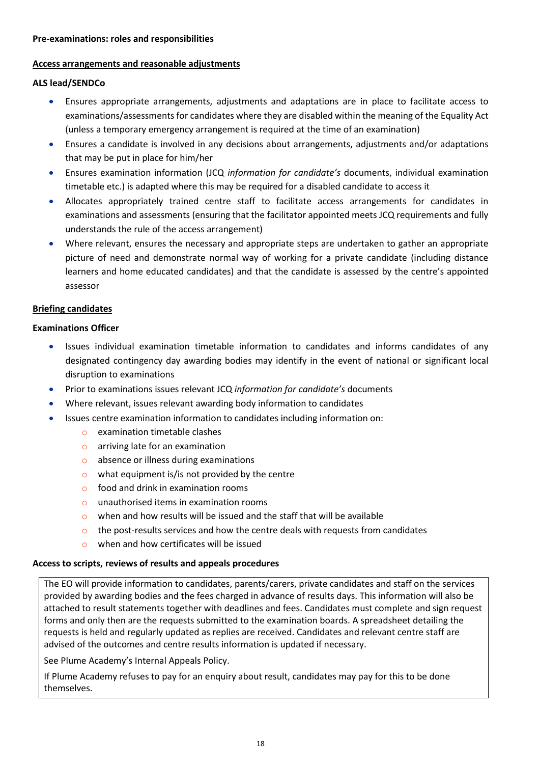#### <span id="page-17-0"></span>**Pre-examinations: roles and responsibilities**

#### <span id="page-17-1"></span>**Access arrangements and reasonable adjustments**

#### **ALS lead/SENDCo**

- Ensures appropriate arrangements, adjustments and adaptations are in place to facilitate access to examinations/assessments for candidates where they are disabled within the meaning of the Equality Act (unless a temporary emergency arrangement is required at the time of an examination)
- Ensures a candidate is involved in any decisions about arrangements, adjustments and/or adaptations that may be put in place for him/her
- Ensures examination information (JCQ *information for candidate's* documents, individual examination timetable etc.) is adapted where this may be required for a disabled candidate to access it
- Allocates appropriately trained centre staff to facilitate access arrangements for candidates in examinations and assessments (ensuring that the facilitator appointed meets JCQ requirements and fully understands the rule of the access arrangement)
- Where relevant, ensures the necessary and appropriate steps are undertaken to gather an appropriate picture of need and demonstrate normal way of working for a private candidate (including distance learners and home educated candidates) and that the candidate is assessed by the centre's appointed assessor

# <span id="page-17-2"></span>**Briefing candidates**

#### **Examinations Officer**

- Issues individual examination timetable information to candidates and informs candidates of any designated contingency day awarding bodies may identify in the event of national or significant local disruption to examinations
- Prior to examinations issues relevant JCQ *information for candidate's* documents
- Where relevant, issues relevant awarding body information to candidates
- Issues centre examination information to candidates including information on:
	- o examination timetable clashes
	- o arriving late for an examination
	- o absence or illness during examinations
	- $\circ$  what equipment is/is not provided by the centre
	- o food and drink in examination rooms
	- o unauthorised items in examination rooms
	- $\circ$  when and how results will be issued and the staff that will be available
	- $\circ$  the post-results services and how the centre deals with requests from candidates
	- o when and how certificates will be issued

#### <span id="page-17-3"></span>**Access to scripts, reviews of results and appeals procedures**

The EO will provide information to candidates, parents/carers, private candidates and staff on the services provided by awarding bodies and the fees charged in advance of results days. This information will also be attached to result statements together with deadlines and fees. Candidates must complete and sign request forms and only then are the requests submitted to the examination boards. A spreadsheet detailing the requests is held and regularly updated as replies are received. Candidates and relevant centre staff are advised of the outcomes and centre results information is updated if necessary.

See Plume Academy's Internal Appeals Policy.

If Plume Academy refuses to pay for an enquiry about result, candidates may pay for this to be done themselves.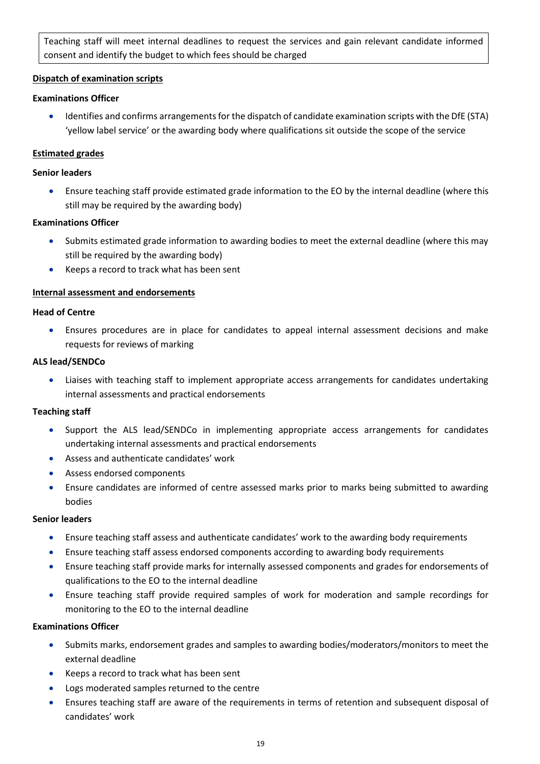Teaching staff will meet internal deadlines to request the services and gain relevant candidate informed consent and identify the budget to which fees should be charged

# <span id="page-18-0"></span>**Dispatch of examination scripts**

# **Examinations Officer**

 Identifies and confirms arrangements for the dispatch of candidate examination scripts with the DfE (STA) 'yellow label service' or the awarding body where qualifications sit outside the scope of the service

# <span id="page-18-1"></span>**Estimated grades**

# **Senior leaders**

 Ensure teaching staff provide estimated grade information to the EO by the internal deadline (where this still may be required by the awarding body)

# **Examinations Officer**

- Submits estimated grade information to awarding bodies to meet the external deadline (where this may still be required by the awarding body)
- Keeps a record to track what has been sent

# <span id="page-18-2"></span>**Internal assessment and endorsements**

# **Head of Centre**

 Ensures procedures are in place for candidates to appeal internal assessment decisions and make requests for reviews of marking

#### **ALS lead/SENDCo**

 Liaises with teaching staff to implement appropriate access arrangements for candidates undertaking internal assessments and practical endorsements

# **Teaching staff**

- Support the ALS lead/SENDCo in implementing appropriate access arrangements for candidates undertaking internal assessments and practical endorsements
- Assess and authenticate candidates' work
- Assess endorsed components
- Ensure candidates are informed of centre assessed marks prior to marks being submitted to awarding bodies

#### **Senior leaders**

- Ensure teaching staff assess and authenticate candidates' work to the awarding body requirements
- Ensure teaching staff assess endorsed components according to awarding body requirements
- Ensure teaching staff provide marks for internally assessed components and grades for endorsements of qualifications to the EO to the internal deadline
- Ensure teaching staff provide required samples of work for moderation and sample recordings for monitoring to the EO to the internal deadline

# **Examinations Officer**

- Submits marks, endorsement grades and samples to awarding bodies/moderators/monitors to meet the external deadline
- Keeps a record to track what has been sent
- Logs moderated samples returned to the centre
- Ensures teaching staff are aware of the requirements in terms of retention and subsequent disposal of candidates' work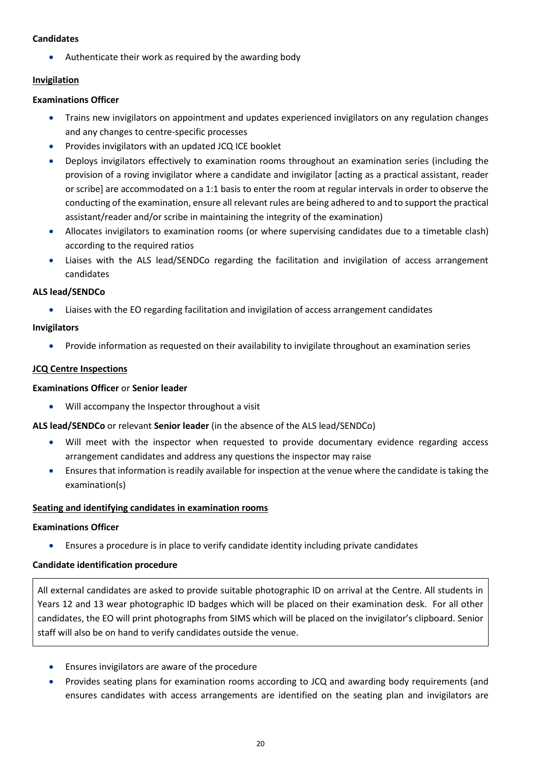#### **Candidates**

Authenticate their work as required by the awarding body

# <span id="page-19-0"></span>**Invigilation**

## **Examinations Officer**

- Trains new invigilators on appointment and updates experienced invigilators on any regulation changes and any changes to centre-specific processes
- Provides invigilators with an updated JCQ ICE booklet
- Deploys invigilators effectively to examination rooms throughout an examination series (including the provision of a roving invigilator where a candidate and invigilator [acting as a practical assistant, reader or scribe] are accommodated on a 1:1 basis to enter the room at regular intervals in order to observe the conducting of the examination, ensure all relevant rules are being adhered to and to support the practical assistant/reader and/or scribe in maintaining the integrity of the examination)
- Allocates invigilators to examination rooms (or where supervising candidates due to a timetable clash) according to the required ratios
- Liaises with the ALS lead/SENDCo regarding the facilitation and invigilation of access arrangement candidates

#### **ALS lead/SENDCo**

Liaises with the EO regarding facilitation and invigilation of access arrangement candidates

#### **Invigilators**

Provide information as requested on their availability to invigilate throughout an examination series

#### <span id="page-19-1"></span>**JCQ Centre Inspections**

#### **Examinations Officer** or **Senior leader**

Will accompany the Inspector throughout a visit

**ALS lead/SENDCo** or relevant **Senior leader** (in the absence of the ALS lead/SENDCo)

- Will meet with the inspector when requested to provide documentary evidence regarding access arrangement candidates and address any questions the inspector may raise
- Ensures that information is readily available for inspection at the venue where the candidate is taking the examination(s)

# <span id="page-19-2"></span>**Seating and identifying candidates in examination rooms**

#### **Examinations Officer**

Ensures a procedure is in place to verify candidate identity including private candidates

#### <span id="page-19-3"></span>**Candidate identification procedure**

All external candidates are asked to provide suitable photographic ID on arrival at the Centre. All students in Years 12 and 13 wear photographic ID badges which will be placed on their examination desk. For all other candidates, the EO will print photographs from SIMS which will be placed on the invigilator's clipboard. Senior staff will also be on hand to verify candidates outside the venue.

- Ensures invigilators are aware of the procedure
- Provides seating plans for examination rooms according to JCQ and awarding body requirements (and ensures candidates with access arrangements are identified on the seating plan and invigilators are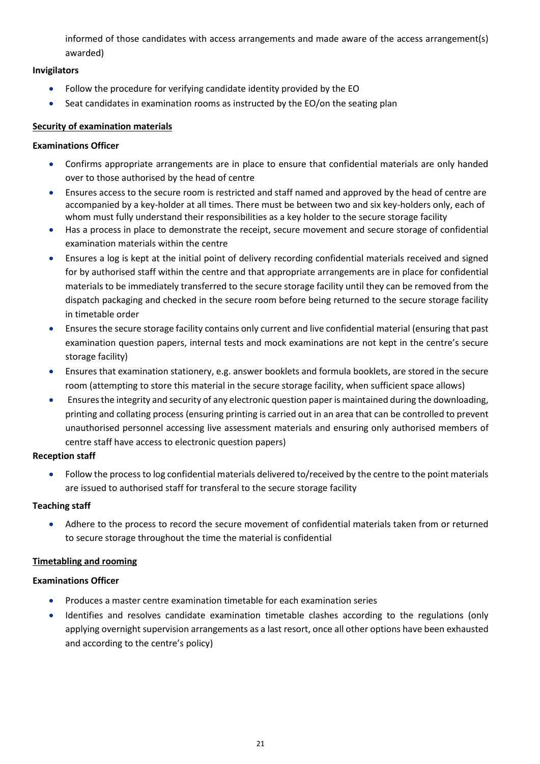informed of those candidates with access arrangements and made aware of the access arrangement(s) awarded)

# **Invigilators**

- Follow the procedure for verifying candidate identity provided by the EO
- Seat candidates in examination rooms as instructed by the EO/on the seating plan

# <span id="page-20-0"></span>**Security of examination materials**

# **Examinations Officer**

- Confirms appropriate arrangements are in place to ensure that confidential materials are only handed over to those authorised by the head of centre
- Ensures access to the secure room is restricted and staff named and approved by the head of centre are accompanied by a key-holder at all times. There must be between two and six key-holders only, each of whom must fully understand their responsibilities as a key holder to the secure storage facility
- Has a process in place to demonstrate the receipt, secure movement and secure storage of confidential examination materials within the centre
- Ensures a log is kept at the initial point of delivery recording confidential materials received and signed for by authorised staff within the centre and that appropriate arrangements are in place for confidential materials to be immediately transferred to the secure storage facility until they can be removed from the dispatch packaging and checked in the secure room before being returned to the secure storage facility in timetable order
- Ensures the secure storage facility contains only current and live confidential material (ensuring that past examination question papers, internal tests and mock examinations are not kept in the centre's secure storage facility)
- Ensures that examination stationery, e.g. answer booklets and formula booklets, are stored in the secure room (attempting to store this material in the secure storage facility, when sufficient space allows)
- Ensures the integrity and security of any electronic question paper is maintained during the downloading, printing and collating process (ensuring printing is carried out in an area that can be controlled to prevent unauthorised personnel accessing live assessment materials and ensuring only authorised members of centre staff have access to electronic question papers)

# **Reception staff**

 Follow the process to log confidential materials delivered to/received by the centre to the point materials are issued to authorised staff for transferal to the secure storage facility

# **Teaching staff**

 Adhere to the process to record the secure movement of confidential materials taken from or returned to secure storage throughout the time the material is confidential

# <span id="page-20-1"></span>**Timetabling and rooming**

# **Examinations Officer**

- Produces a master centre examination timetable for each examination series
- Identifies and resolves candidate examination timetable clashes according to the regulations (only applying overnight supervision arrangements as a last resort, once all other options have been exhausted and according to the centre's policy)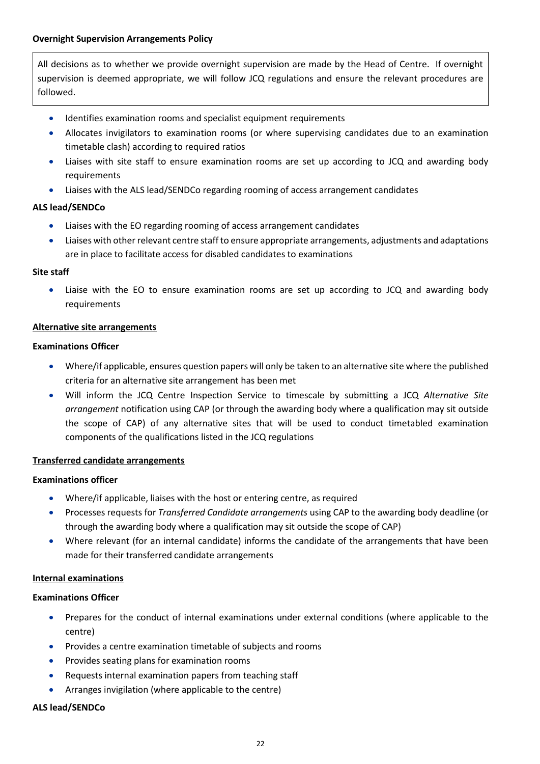<span id="page-21-0"></span>All decisions as to whether we provide overnight supervision are made by the Head of Centre. If overnight supervision is deemed appropriate, we will follow JCQ regulations and ensure the relevant procedures are followed.

- Identifies examination rooms and specialist equipment requirements
- Allocates invigilators to examination rooms (or where supervising candidates due to an examination timetable clash) according to required ratios
- Liaises with site staff to ensure examination rooms are set up according to JCQ and awarding body requirements
- Liaises with the ALS lead/SENDCo regarding rooming of access arrangement candidates

#### **ALS lead/SENDCo**

- Liaises with the EO regarding rooming of access arrangement candidates
- Liaises with other relevant centre staff to ensure appropriate arrangements, adjustments and adaptations are in place to facilitate access for disabled candidates to examinations

#### **Site staff**

 Liaise with the EO to ensure examination rooms are set up according to JCQ and awarding body requirements

#### <span id="page-21-1"></span>**Alternative site arrangements**

#### **Examinations Officer**

- Where/if applicable, ensures question papers will only be taken to an alternative site where the published criteria for an alternative site arrangement has been met
- Will inform the JCQ Centre Inspection Service to timescale by submitting a JCQ *Alternative Site arrangement* notification using CAP (or through the awarding body where a qualification may sit outside the scope of CAP) of any alternative sites that will be used to conduct timetabled examination components of the qualifications listed in the JCQ regulations

#### <span id="page-21-2"></span>**Transferred candidate arrangements**

#### **Examinations officer**

- Where/if applicable, liaises with the host or entering centre, as required
- Processes requests for *Transferred Candidate arrangements* using CAP to the awarding body deadline (or through the awarding body where a qualification may sit outside the scope of CAP)
- Where relevant (for an internal candidate) informs the candidate of the arrangements that have been made for their transferred candidate arrangements

#### <span id="page-21-3"></span>**Internal examinations**

#### **Examinations Officer**

- Prepares for the conduct of internal examinations under external conditions (where applicable to the centre)
- Provides a centre examination timetable of subjects and rooms
- Provides seating plans for examination rooms
- Requests internal examination papers from teaching staff
- Arranges invigilation (where applicable to the centre)

# **ALS lead/SENDCo**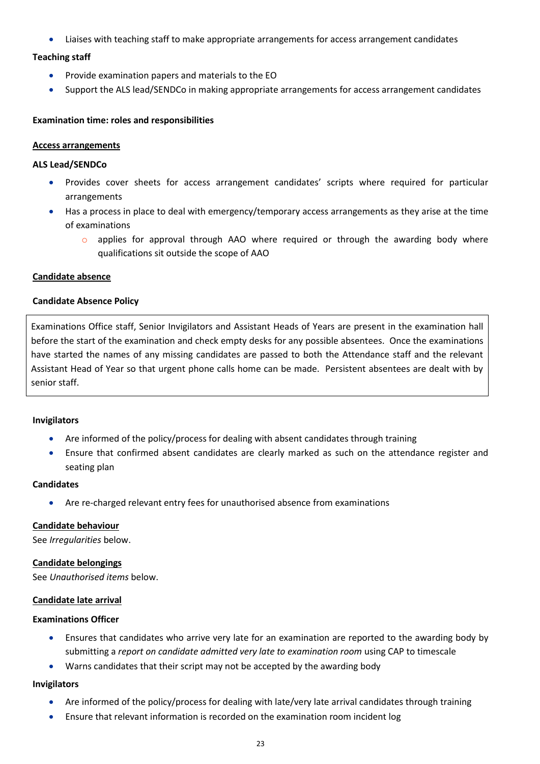Liaises with teaching staff to make appropriate arrangements for access arrangement candidates

#### **Teaching staff**

- **•** Provide examination papers and materials to the EO
- Support the ALS lead/SENDCo in making appropriate arrangements for access arrangement candidates

#### <span id="page-22-0"></span>**Examination time: roles and responsibilities**

#### <span id="page-22-1"></span>**Access arrangements**

#### **ALS Lead/SENDCo**

- Provides cover sheets for access arrangement candidates' scripts where required for particular arrangements
- Has a process in place to deal with emergency/temporary access arrangements as they arise at the time of examinations
	- $\circ$  applies for approval through AAO where required or through the awarding body where qualifications sit outside the scope of AAO

#### <span id="page-22-2"></span>**Candidate absence**

#### <span id="page-22-3"></span>**Candidate Absence Policy**

Examinations Office staff, Senior Invigilators and Assistant Heads of Years are present in the examination hall before the start of the examination and check empty desks for any possible absentees. Once the examinations have started the names of any missing candidates are passed to both the Attendance staff and the relevant Assistant Head of Year so that urgent phone calls home can be made. Persistent absentees are dealt with by senior staff.

#### **Invigilators**

- Are informed of the policy/process for dealing with absent candidates through training
- Ensure that confirmed absent candidates are clearly marked as such on the attendance register and seating plan

#### **Candidates**

Are re-charged relevant entry fees for unauthorised absence from examinations

#### <span id="page-22-4"></span>**Candidate behaviour**

See *Irregularities* below.

#### <span id="page-22-5"></span>**Candidate belongings**

See *Unauthorised items* below.

#### <span id="page-22-6"></span>**Candidate late arrival**

#### **Examinations Officer**

- Ensures that candidates who arrive very late for an examination are reported to the awarding body by submitting a *report on candidate admitted very late to examination room* using CAP to timescale
- Warns candidates that their script may not be accepted by the awarding body

#### **Invigilators**

- Are informed of the policy/process for dealing with late/very late arrival candidates through training
- Ensure that relevant information is recorded on the examination room incident log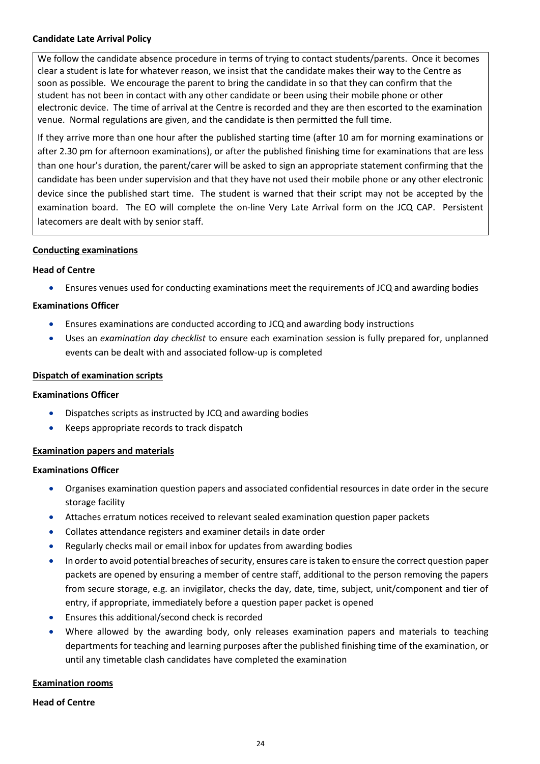#### <span id="page-23-0"></span>**Candidate Late Arrival Policy**

We follow the candidate absence procedure in terms of trying to contact students/parents. Once it becomes clear a student is late for whatever reason, we insist that the candidate makes their way to the Centre as soon as possible. We encourage the parent to bring the candidate in so that they can confirm that the student has not been in contact with any other candidate or been using their mobile phone or other electronic device. The time of arrival at the Centre is recorded and they are then escorted to the examination venue. Normal regulations are given, and the candidate is then permitted the full time.

If they arrive more than one hour after the published starting time (after 10 am for morning examinations or after 2.30 pm for afternoon examinations), or after the published finishing time for examinations that are less than one hour's duration, the parent/carer will be asked to sign an appropriate statement confirming that the candidate has been under supervision and that they have not used their mobile phone or any other electronic device since the published start time. The student is warned that their script may not be accepted by the examination board. The EO will complete the on-line Very Late Arrival form on the JCQ CAP. Persistent latecomers are dealt with by senior staff.

#### <span id="page-23-1"></span>**Conducting examinations**

#### **Head of Centre**

Ensures venues used for conducting examinations meet the requirements of JCQ and awarding bodies

#### **Examinations Officer**

- Ensures examinations are conducted according to JCQ and awarding body instructions
- Uses an *examination day checklist* to ensure each examination session is fully prepared for, unplanned events can be dealt with and associated follow-up is completed

#### <span id="page-23-2"></span>**Dispatch of examination scripts**

#### **Examinations Officer**

- Dispatches scripts as instructed by JCQ and awarding bodies
- Keeps appropriate records to track dispatch

#### <span id="page-23-3"></span>**Examination papers and materials**

#### **Examinations Officer**

- Organises examination question papers and associated confidential resources in date order in the secure storage facility
- Attaches erratum notices received to relevant sealed examination question paper packets
- Collates attendance registers and examiner details in date order
- Regularly checks mail or email inbox for updates from awarding bodies
- In order to avoid potential breaches of security, ensures care is taken to ensure the correct question paper packets are opened by ensuring a member of centre staff, additional to the person removing the papers from secure storage, e.g. an invigilator, checks the day, date, time, subject, unit/component and tier of entry, if appropriate, immediately before a question paper packet is opened
- Ensures this additional/second check is recorded
- Where allowed by the awarding body, only releases examination papers and materials to teaching departments for teaching and learning purposes after the published finishing time of the examination, or until any timetable clash candidates have completed the examination

# <span id="page-23-4"></span>**Examination rooms**

#### **Head of Centre**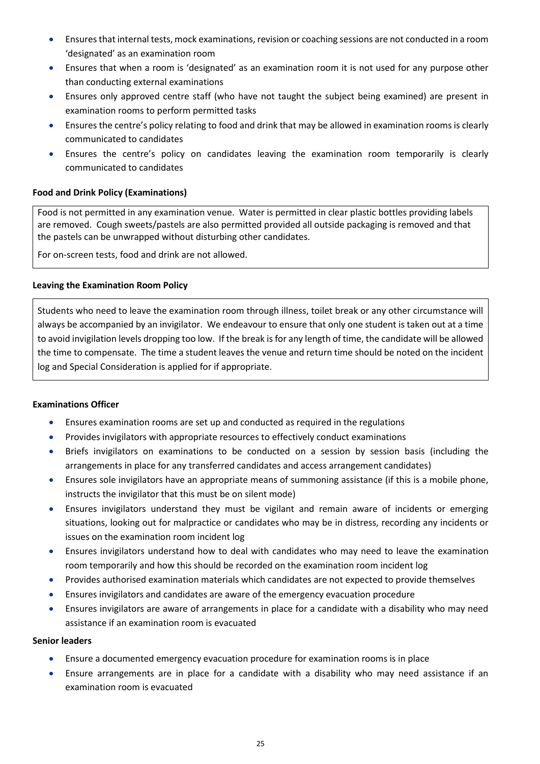- Ensures that internal tests, mock examinations, revision or coaching sessions are not conducted in a room 'designated' as an examination room
- Ensures that when a room is 'designated' as an examination room it is not used for any purpose other than conducting external examinations
- Ensures only approved centre staff (who have not taught the subject being examined) are present in examination rooms to perform permitted tasks
- Ensures the centre's policy relating to food and drink that may be allowed in examination rooms is clearly communicated to candidates
- Ensures the centre's policy on candidates leaving the examination room temporarily is clearly communicated to candidates

# <span id="page-24-0"></span>**Food and Drink Policy (Examinations)**

Food is not permitted in any examination venue. Water is permitted in clear plastic bottles providing labels are removed. Cough sweets/pastels are also permitted provided all outside packaging is removed and that the pastels can be unwrapped without disturbing other candidates.

For on-screen tests, food and drink are not allowed.

# <span id="page-24-1"></span>**Leaving the Examination Room Policy**

Students who need to leave the examination room through illness, toilet break or any other circumstance will always be accompanied by an invigilator. We endeavour to ensure that only one student is taken out at a time to avoid invigilation levels dropping too low. If the break is for any length of time, the candidate will be allowed the time to compensate. The time a student leaves the venue and return time should be noted on the incident log and Special Consideration is applied for if appropriate.

# **Examinations Officer**

- Ensures examination rooms are set up and conducted as required in the regulations
- Provides invigilators with appropriate resources to effectively conduct examinations
- Briefs invigilators on examinations to be conducted on a session by session basis (including the arrangements in place for any transferred candidates and access arrangement candidates)
- Ensures sole invigilators have an appropriate means of summoning assistance (if this is a mobile phone, instructs the invigilator that this must be on silent mode)
- Ensures invigilators understand they must be vigilant and remain aware of incidents or emerging situations, looking out for malpractice or candidates who may be in distress, recording any incidents or issues on the examination room incident log
- Ensures invigilators understand how to deal with candidates who may need to leave the examination room temporarily and how this should be recorded on the examination room incident log
- Provides authorised examination materials which candidates are not expected to provide themselves
- Ensures invigilators and candidates are aware of the emergency evacuation procedure
- Ensures invigilators are aware of arrangements in place for a candidate with a disability who may need assistance if an examination room is evacuated

#### **Senior leaders**

- Ensure a documented emergency evacuation procedure for examination rooms is in place
- Ensure arrangements are in place for a candidate with a disability who may need assistance if an examination room is evacuated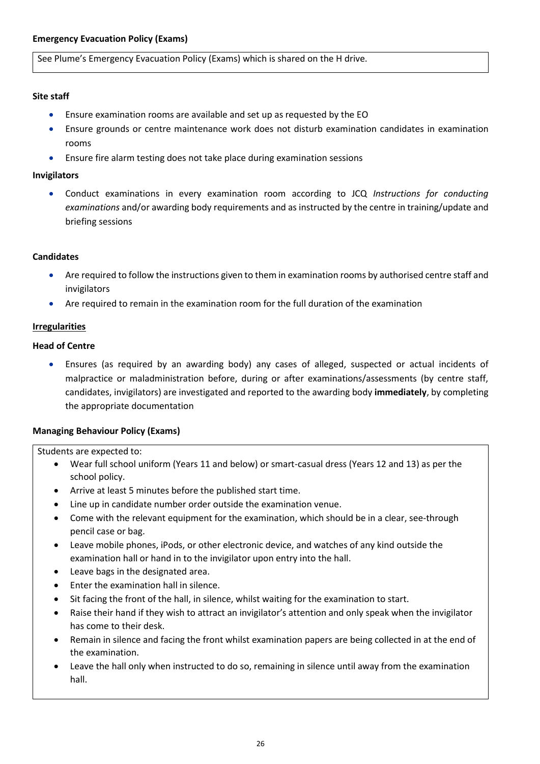<span id="page-25-0"></span>See Plume's Emergency Evacuation Policy (Exams) which is shared on the H drive.

# **Site staff**

- Ensure examination rooms are available and set up as requested by the EO
- Ensure grounds or centre maintenance work does not disturb examination candidates in examination rooms
- Ensure fire alarm testing does not take place during examination sessions

#### **Invigilators**

 Conduct examinations in every examination room according to JCQ *Instructions for conducting examinations* and/or awarding body requirements and as instructed by the centre in training/update and briefing sessions

# **Candidates**

- Are required to follow the instructions given to them in examination rooms by authorised centre staff and invigilators
- Are required to remain in the examination room for the full duration of the examination

#### <span id="page-25-1"></span>**Irregularities**

#### **Head of Centre**

 Ensures (as required by an awarding body) any cases of alleged, suspected or actual incidents of malpractice or maladministration before, during or after examinations/assessments (by centre staff, candidates, invigilators) are investigated and reported to the awarding body **immediately**, by completing the appropriate documentation

# <span id="page-25-2"></span>**Managing Behaviour Policy (Exams)**

Students are expected to:

- Wear full school uniform (Years 11 and below) or smart-casual dress (Years 12 and 13) as per the school policy.
- Arrive at least 5 minutes before the published start time.
- Line up in candidate number order outside the examination venue.
- Come with the relevant equipment for the examination, which should be in a clear, see-through pencil case or bag.
- Leave mobile phones, iPods, or other electronic device, and watches of any kind outside the examination hall or hand in to the invigilator upon entry into the hall.
- Leave bags in the designated area.
- Enter the examination hall in silence.
- Sit facing the front of the hall, in silence, whilst waiting for the examination to start.
- Raise their hand if they wish to attract an invigilator's attention and only speak when the invigilator has come to their desk.
- Remain in silence and facing the front whilst examination papers are being collected in at the end of the examination.
- Leave the hall only when instructed to do so, remaining in silence until away from the examination hall.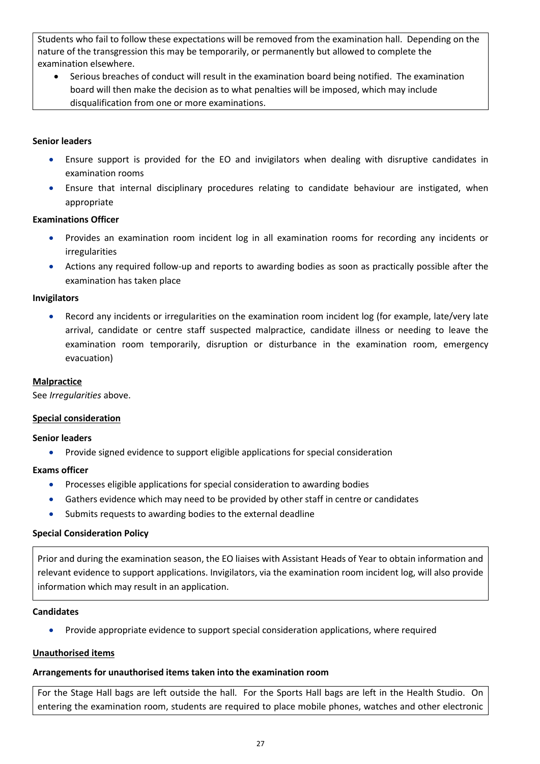Students who fail to follow these expectations will be removed from the examination hall. Depending on the nature of the transgression this may be temporarily, or permanently but allowed to complete the examination elsewhere.

 Serious breaches of conduct will result in the examination board being notified. The examination board will then make the decision as to what penalties will be imposed, which may include disqualification from one or more examinations.

## **Senior leaders**

- Ensure support is provided for the EO and invigilators when dealing with disruptive candidates in examination rooms
- Ensure that internal disciplinary procedures relating to candidate behaviour are instigated, when appropriate

#### **Examinations Officer**

- Provides an examination room incident log in all examination rooms for recording any incidents or irregularities
- Actions any required follow-up and reports to awarding bodies as soon as practically possible after the examination has taken place

#### **Invigilators**

 Record any incidents or irregularities on the examination room incident log (for example, late/very late arrival, candidate or centre staff suspected malpractice, candidate illness or needing to leave the examination room temporarily, disruption or disturbance in the examination room, emergency evacuation)

#### <span id="page-26-0"></span>**Malpractice**

See *Irregularities* above.

#### <span id="page-26-1"></span>**Special consideration**

#### **Senior leaders**

Provide signed evidence to support eligible applications for special consideration

#### **Exams officer**

- **•** Processes eligible applications for special consideration to awarding bodies
- Gathers evidence which may need to be provided by other staff in centre or candidates
- Submits requests to awarding bodies to the external deadline

#### <span id="page-26-2"></span>**Special Consideration Policy**

Prior and during the examination season, the EO liaises with Assistant Heads of Year to obtain information and relevant evidence to support applications. Invigilators, via the examination room incident log, will also provide information which may result in an application.

#### **Candidates**

Provide appropriate evidence to support special consideration applications, where required

#### <span id="page-26-3"></span>**Unauthorised items**

#### <span id="page-26-4"></span>**Arrangements for unauthorised items taken into the examination room**

For the Stage Hall bags are left outside the hall. For the Sports Hall bags are left in the Health Studio. On entering the examination room, students are required to place mobile phones, watches and other electronic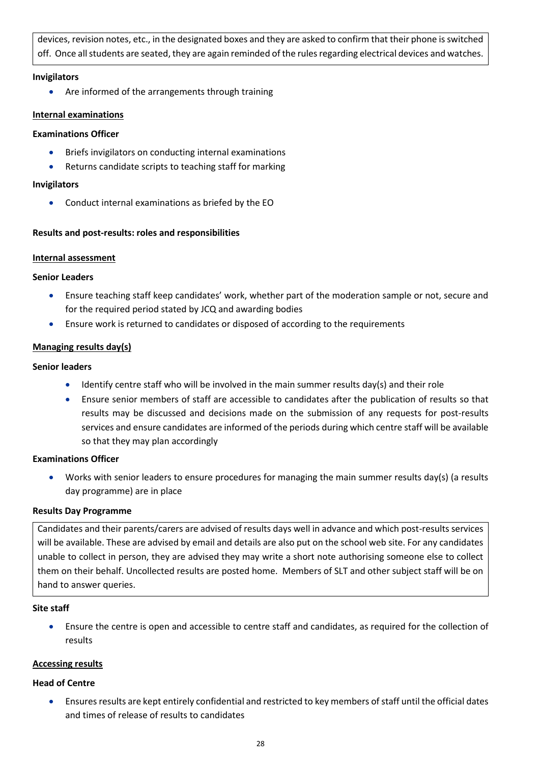devices, revision notes, etc., in the designated boxes and they are asked to confirm that their phone is switched off. Once all students are seated, they are again reminded of the rules regarding electrical devices and watches.

#### **Invigilators**

Are informed of the arrangements through training

# <span id="page-27-0"></span>**Internal examinations**

# **Examinations Officer**

- Briefs invigilators on conducting internal examinations
- Returns candidate scripts to teaching staff for marking

# **Invigilators**

Conduct internal examinations as briefed by the EO

# <span id="page-27-1"></span>**Results and post-results: roles and responsibilities**

# <span id="page-27-2"></span>**Internal assessment**

# **Senior Leaders**

- Ensure teaching staff keep candidates' work, whether part of the moderation sample or not, secure and for the required period stated by JCQ and awarding bodies
- Ensure work is returned to candidates or disposed of according to the requirements

# <span id="page-27-3"></span>**Managing results day(s)**

# **Senior leaders**

- Identify centre staff who will be involved in the main summer results day(s) and their role
- Ensure senior members of staff are accessible to candidates after the publication of results so that results may be discussed and decisions made on the submission of any requests for post-results services and ensure candidates are informed of the periods during which centre staff will be available so that they may plan accordingly

# **Examinations Officer**

Works with senior leaders to ensure procedures for managing the main summer results day(s) (a results day programme) are in place

# <span id="page-27-4"></span>**Results Day Programme**

Candidates and their parents/carers are advised of results days well in advance and which post-results services will be available. These are advised by email and details are also put on the school web site. For any candidates unable to collect in person, they are advised they may write a short note authorising someone else to collect them on their behalf. Uncollected results are posted home. Members of SLT and other subject staff will be on hand to answer queries.

# **Site staff**

 Ensure the centre is open and accessible to centre staff and candidates, as required for the collection of results

# <span id="page-27-5"></span>**Accessing results**

# **Head of Centre**

 Ensures results are kept entirely confidential and restricted to key members of staff until the official dates and times of release of results to candidates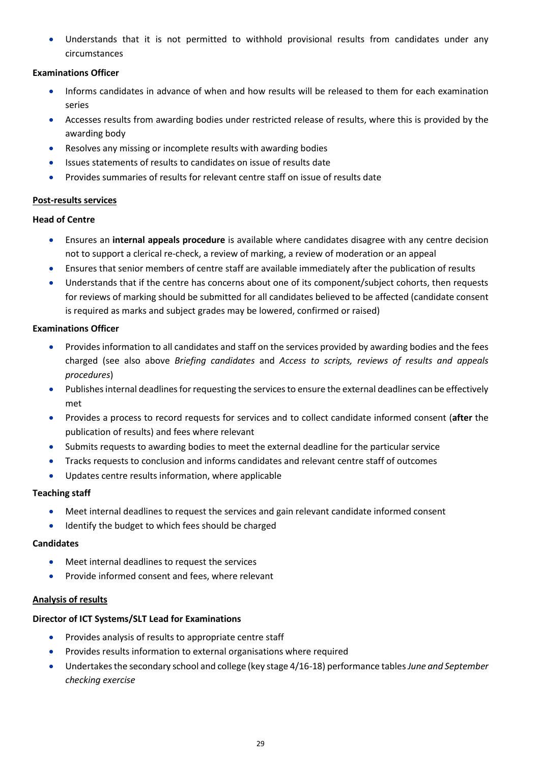Understands that it is not permitted to withhold provisional results from candidates under any circumstances

# **Examinations Officer**

- Informs candidates in advance of when and how results will be released to them for each examination series
- Accesses results from awarding bodies under restricted release of results, where this is provided by the awarding body
- Resolves any missing or incomplete results with awarding bodies
- Issues statements of results to candidates on issue of results date
- Provides summaries of results for relevant centre staff on issue of results date

# <span id="page-28-0"></span>**Post-results services**

# **Head of Centre**

- Ensures an **internal appeals procedure** is available where candidates disagree with any centre decision not to support a clerical re-check, a review of marking, a review of moderation or an appeal
- Ensures that senior members of centre staff are available immediately after the publication of results
- Understands that if the centre has concerns about one of its component/subject cohorts, then requests for reviews of marking should be submitted for all candidates believed to be affected (candidate consent is required as marks and subject grades may be lowered, confirmed or raised)

# **Examinations Officer**

- Provides information to all candidates and staff on the services provided by awarding bodies and the fees charged (see also above *Briefing candidates* and *Access to scripts, reviews of results and appeals procedures*)
- Publishes internal deadlines for requesting the services to ensure the external deadlines can be effectively met
- Provides a process to record requests for services and to collect candidate informed consent (**after** the publication of results) and fees where relevant
- Submits requests to awarding bodies to meet the external deadline for the particular service
- Tracks requests to conclusion and informs candidates and relevant centre staff of outcomes
- Updates centre results information, where applicable

# **Teaching staff**

- Meet internal deadlines to request the services and gain relevant candidate informed consent
- Identify the budget to which fees should be charged

# **Candidates**

- Meet internal deadlines to request the services
- Provide informed consent and fees, where relevant

# <span id="page-28-1"></span>**Analysis of results**

# **Director of ICT Systems/SLT Lead for Examinations**

- **•** Provides analysis of results to appropriate centre staff
- Provides results information to external organisations where required
- Undertakes the secondary school and college (key stage 4/16-18) performance tables*June and September checking exercise*